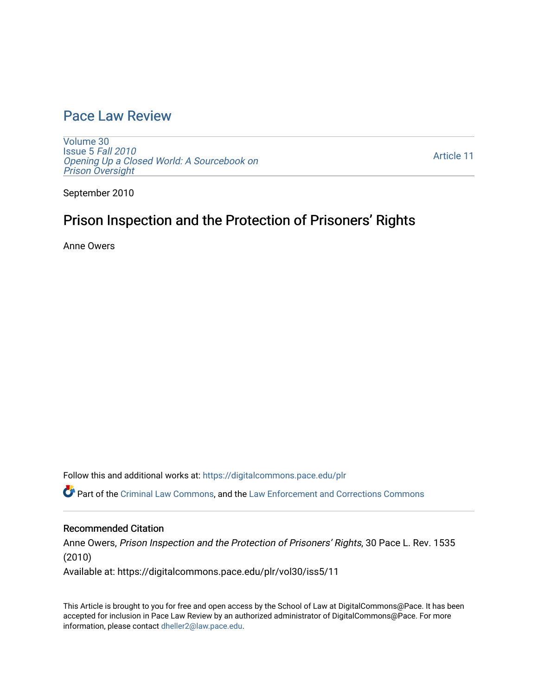### [Pace Law Review](https://digitalcommons.pace.edu/plr)

[Volume 30](https://digitalcommons.pace.edu/plr/vol30) [Issue 5](https://digitalcommons.pace.edu/plr/vol30/iss5) Fall 2010 [Opening Up a Closed World: A Sourcebook on](https://digitalcommons.pace.edu/plr/vol30/iss5)  [Prison Oversight](https://digitalcommons.pace.edu/plr/vol30/iss5) 

[Article 11](https://digitalcommons.pace.edu/plr/vol30/iss5/11) 

September 2010

# Prison Inspection and the Protection of Prisoners' Rights

Anne Owers

Follow this and additional works at: [https://digitalcommons.pace.edu/plr](https://digitalcommons.pace.edu/plr?utm_source=digitalcommons.pace.edu%2Fplr%2Fvol30%2Fiss5%2F11&utm_medium=PDF&utm_campaign=PDFCoverPages)

Part of the [Criminal Law Commons,](http://network.bepress.com/hgg/discipline/912?utm_source=digitalcommons.pace.edu%2Fplr%2Fvol30%2Fiss5%2F11&utm_medium=PDF&utm_campaign=PDFCoverPages) and the Law Enforcement and Corrections Commons

### Recommended Citation

Anne Owers, Prison Inspection and the Protection of Prisoners' Rights, 30 Pace L. Rev. 1535 (2010)

Available at: https://digitalcommons.pace.edu/plr/vol30/iss5/11

This Article is brought to you for free and open access by the School of Law at DigitalCommons@Pace. It has been accepted for inclusion in Pace Law Review by an authorized administrator of DigitalCommons@Pace. For more information, please contact [dheller2@law.pace.edu.](mailto:dheller2@law.pace.edu)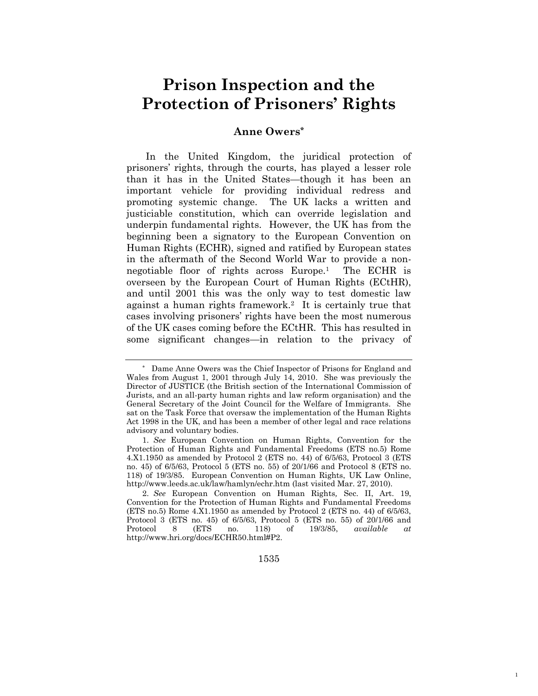# **Prison Inspection and the Protection of Prisoners' Rights**

### **Anne Owers\***

In the United Kingdom, the juridical protection of prisoners" rights, through the courts, has played a lesser role than it has in the United States—though it has been an important vehicle for providing individual redress and promoting systemic change. The UK lacks a written and justiciable constitution, which can override legislation and underpin fundamental rights. However, the UK has from the beginning been a signatory to the European Convention on Human Rights (ECHR), signed and ratified by European states in the aftermath of the Second World War to provide a nonnegotiable floor of rights across Europe.<sup>1</sup> The ECHR is overseen by the European Court of Human Rights (ECtHR), and until 2001 this was the only way to test domestic law against a human rights framework.<sup>2</sup> It is certainly true that cases involving prisoners' rights have been the most numerous of the UK cases coming before the ECtHR. This has resulted in some significant changes—in relation to the privacy of

1535

1

<sup>\*</sup> Dame Anne Owers was the Chief Inspector of Prisons for England and Wales from August 1, 2001 through July 14, 2010. She was previously the Director of JUSTICE (the British section of the International Commission of Jurists, and an all-party human rights and law reform organisation) and the General Secretary of the Joint Council for the Welfare of Immigrants. She sat on the Task Force that oversaw the implementation of the Human Rights Act 1998 in the UK, and has been a member of other legal and race relations advisory and voluntary bodies.

<sup>1.</sup> *See* European Convention on Human Rights, Convention for the Protection of Human Rights and Fundamental Freedoms (ETS no.5) Rome 4.X1.1950 as amended by Protocol 2 (ETS no. 44) of 6/5/63, Protocol 3 (ETS no. 45) of 6/5/63, Protocol 5 (ETS no. 55) of 20/1/66 and Protocol 8 (ETS no. 118) of 19/3/85. European Convention on Human Rights, UK Law Online, http://www.leeds.ac.uk/law/hamlyn/echr.htm (last visited Mar. 27, 2010).

<sup>2.</sup> *See* European Convention on Human Rights*,* Sec. II, Art. 19, Convention for the Protection of Human Rights and Fundamental Freedoms (ETS no.5) Rome 4.X1.1950 as amended by Protocol 2 (ETS no. 44) of 6/5/63, Protocol 3 (ETS no. 45) of 6/5/63, Protocol 5 (ETS no. 55) of 20/1/66 and Protocol 8 (ETS no. 118) of 19/3/85, *available at*  http://www.hri.org/docs/ECHR50.html#P2.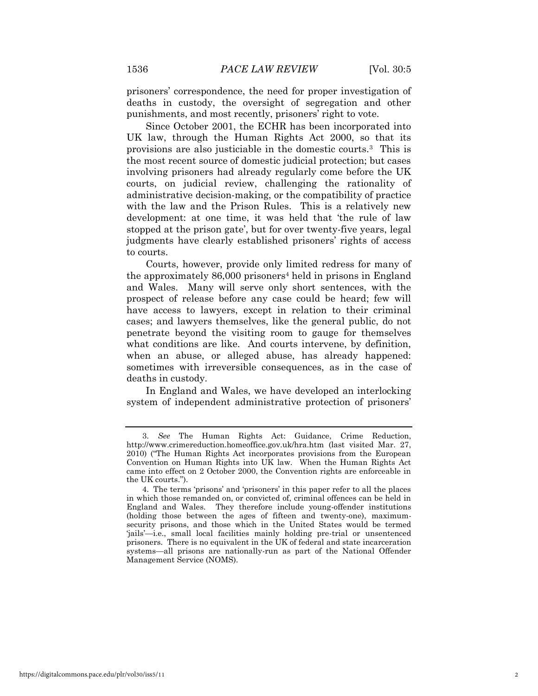prisoners" correspondence, the need for proper investigation of deaths in custody, the oversight of segregation and other punishments, and most recently, prisoners' right to vote.

Since October 2001, the ECHR has been incorporated into UK law, through the Human Rights Act 2000, so that its provisions are also justiciable in the domestic courts.<sup>3</sup> This is the most recent source of domestic judicial protection; but cases involving prisoners had already regularly come before the UK courts, on judicial review, challenging the rationality of administrative decision-making, or the compatibility of practice with the law and the Prison Rules. This is a relatively new development: at one time, it was held that "the rule of law stopped at the prison gate', but for over twenty-five years, legal judgments have clearly established prisoners' rights of access to courts.

Courts, however, provide only limited redress for many of the approximately 86,000 prisoners<sup>4</sup> held in prisons in England and Wales. Many will serve only short sentences, with the prospect of release before any case could be heard; few will have access to lawyers, except in relation to their criminal cases; and lawyers themselves, like the general public, do not penetrate beyond the visiting room to gauge for themselves what conditions are like. And courts intervene, by definition, when an abuse, or alleged abuse, has already happened: sometimes with irreversible consequences, as in the case of deaths in custody.

In England and Wales, we have developed an interlocking system of independent administrative protection of prisoners'

<sup>3.</sup> *See* The Human Rights Act: Guidance, Crime Reduction, http://www.crimereduction.homeoffice.gov.uk/hra.htm (last visited Mar. 27, 2010) ("The Human Rights Act incorporates provisions from the European Convention on Human Rights into UK law. When the Human Rights Act came into effect on 2 October 2000, the Convention rights are enforceable in the UK courts.").

<sup>4.</sup> The terms "prisons" and "prisoners" in this paper refer to all the places in which those remanded on, or convicted of, criminal offences can be held in England and Wales. They therefore include young-offender institutions (holding those between the ages of fifteen and twenty-one), maximumsecurity prisons, and those which in the United States would be termed "jails"—i.e., small local facilities mainly holding pre-trial or unsentenced prisoners. There is no equivalent in the UK of federal and state incarceration systems—all prisons are nationally-run as part of the National Offender Management Service (NOMS).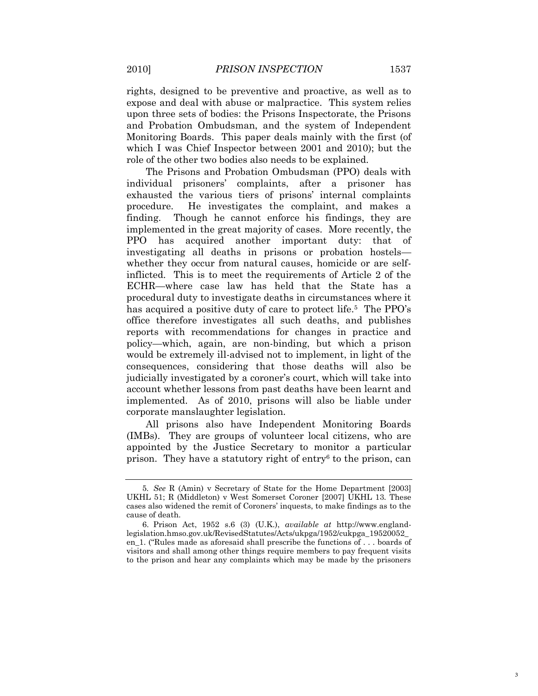rights, designed to be preventive and proactive, as well as to expose and deal with abuse or malpractice. This system relies upon three sets of bodies: the Prisons Inspectorate, the Prisons and Probation Ombudsman, and the system of Independent Monitoring Boards. This paper deals mainly with the first (of which I was Chief Inspector between 2001 and 2010); but the role of the other two bodies also needs to be explained.

The Prisons and Probation Ombudsman (PPO) deals with individual prisoners" complaints, after a prisoner has exhausted the various tiers of prisons' internal complaints procedure. He investigates the complaint, and makes a finding. Though he cannot enforce his findings, they are implemented in the great majority of cases. More recently, the PPO has acquired another important duty: that of investigating all deaths in prisons or probation hostels whether they occur from natural causes, homicide or are selfinflicted. This is to meet the requirements of Article 2 of the ECHR—where case law has held that the State has a procedural duty to investigate deaths in circumstances where it has acquired a positive duty of care to protect life.<sup>5</sup> The PPO's office therefore investigates all such deaths, and publishes reports with recommendations for changes in practice and policy—which, again, are non-binding, but which a prison would be extremely ill-advised not to implement, in light of the consequences, considering that those deaths will also be judicially investigated by a coroner's court, which will take into account whether lessons from past deaths have been learnt and implemented. As of 2010, prisons will also be liable under corporate manslaughter legislation.

All prisons also have Independent Monitoring Boards (IMBs). They are groups of volunteer local citizens, who are appointed by the Justice Secretary to monitor a particular prison. They have a statutory right of entry<sup>6</sup> to the prison, can

<sup>5</sup>*. See* R (Amin) v Secretary of State for the Home Department [2003] UKHL 51; R (Middleton) v West Somerset Coroner [2007] UKHL 13*.* These cases also widened the remit of Coroners" inquests, to make findings as to the cause of death.

<sup>6.</sup> Prison Act, 1952 s.6 (3) (U.K.), *available at* http://www.englandlegislation.hmso.gov.uk/RevisedStatutes/Acts/ukpga/1952/cukpga\_19520052\_ en\_1. ("Rules made as aforesaid shall prescribe the functions of . . . boards of visitors and shall among other things require members to pay frequent visits to the prison and hear any complaints which may be made by the prisoners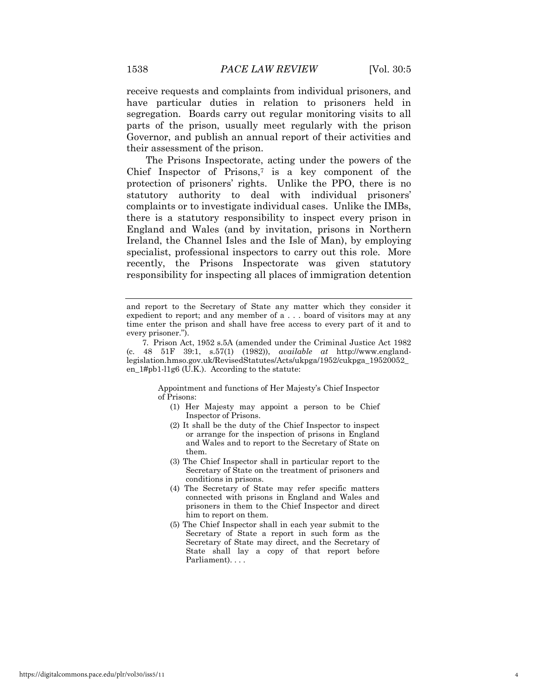receive requests and complaints from individual prisoners, and have particular duties in relation to prisoners held in segregation. Boards carry out regular monitoring visits to all parts of the prison, usually meet regularly with the prison Governor, and publish an annual report of their activities and their assessment of the prison.

The Prisons Inspectorate, acting under the powers of the Chief Inspector of Prisons,<sup> $7$ </sup> is a key component of the protection of prisoners' rights. Unlike the PPO, there is no statutory authority to deal with individual prisoners' complaints or to investigate individual cases. Unlike the IMBs, there is a statutory responsibility to inspect every prison in England and Wales (and by invitation, prisons in Northern Ireland, the Channel Isles and the Isle of Man), by employing specialist, professional inspectors to carry out this role. More recently, the Prisons Inspectorate was given statutory responsibility for inspecting all places of immigration detention

Appointment and functions of Her Majesty"s Chief Inspector of Prisons:

- (1) Her Majesty may appoint a person to be Chief Inspector of Prisons.
- (2) It shall be the duty of the Chief Inspector to inspect or arrange for the inspection of prisons in England and Wales and to report to the Secretary of State on them.
- (3) The Chief Inspector shall in particular report to the Secretary of State on the treatment of prisoners and conditions in prisons.
- (4) The Secretary of State may refer specific matters connected with prisons in England and Wales and prisoners in them to the Chief Inspector and direct him to report on them.
- (5) The Chief Inspector shall in each year submit to the Secretary of State a report in such form as the Secretary of State may direct, and the Secretary of State shall lay a copy of that report before Parliament). . . .

and report to the Secretary of State any matter which they consider it expedient to report; and any member of a . . . board of visitors may at any time enter the prison and shall have free access to every part of it and to every prisoner.").

<sup>7</sup>*.* Prison Act, 1952 s.5A (amended under the Criminal Justice Act 1982 (c. 48 51F 39:1, s.57(1) (1982)), *available at* http://www.englandlegislation.hmso.gov.uk/RevisedStatutes/Acts/ukpga/1952/cukpga\_19520052\_ en\_ $1#pb1-11g6$  (U.K.). According to the statute: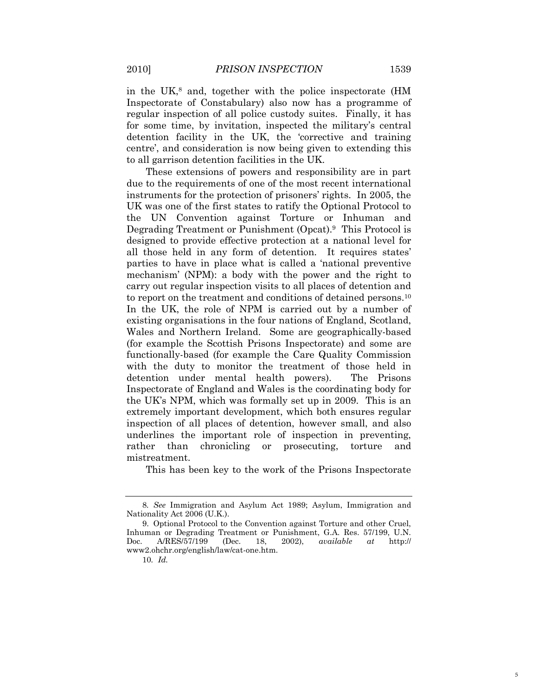in the UK,<sup>8</sup> and, together with the police inspectorate (HM Inspectorate of Constabulary) also now has a programme of regular inspection of all police custody suites. Finally, it has for some time, by invitation, inspected the military's central detention facility in the UK, the "corrective and training centre', and consideration is now being given to extending this to all garrison detention facilities in the UK.

These extensions of powers and responsibility are in part due to the requirements of one of the most recent international instruments for the protection of prisoners' rights. In 2005, the UK was one of the first states to ratify the Optional Protocol to the UN Convention against Torture or Inhuman and Degrading Treatment or Punishment (Opcat).<sup>9</sup> This Protocol is designed to provide effective protection at a national level for all those held in any form of detention. It requires states' parties to have in place what is called a "national preventive mechanism" (NPM): a body with the power and the right to carry out regular inspection visits to all places of detention and to report on the treatment and conditions of detained persons.<sup>10</sup> In the UK, the role of NPM is carried out by a number of existing organisations in the four nations of England, Scotland, Wales and Northern Ireland. Some are geographically-based (for example the Scottish Prisons Inspectorate) and some are functionally-based (for example the Care Quality Commission with the duty to monitor the treatment of those held in detention under mental health powers). The Prisons Inspectorate of England and Wales is the coordinating body for the UK"s NPM, which was formally set up in 2009. This is an extremely important development, which both ensures regular inspection of all places of detention, however small, and also underlines the important role of inspection in preventing, rather than chronicling or prosecuting, torture and mistreatment.

This has been key to the work of the Prisons Inspectorate

<sup>8</sup>*. See* Immigration and Asylum Act 1989; Asylum, Immigration and Nationality Act 2006 (U.K.).

<sup>9.</sup> Optional Protocol to the Convention against Torture and other Cruel, Inhuman or Degrading Treatment or Punishment, G.A. Res. 57/199, U.N. Doc. A/RES/57/199 (Dec. 18, 2002), *available at* http:// www2.ohchr.org/english/law/cat-one.htm.

<sup>10</sup>*. Id.*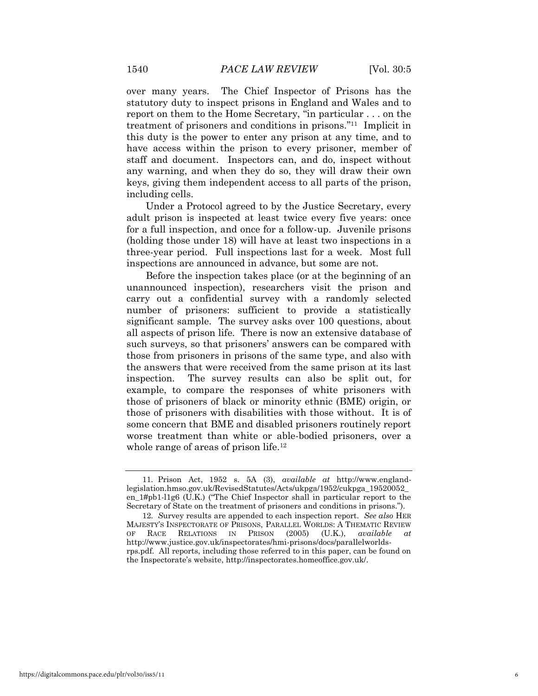over many years. The Chief Inspector of Prisons has the statutory duty to inspect prisons in England and Wales and to report on them to the Home Secretary, "in particular . . . on the treatment of prisoners and conditions in prisons." 11 Implicit in this duty is the power to enter any prison at any time, and to have access within the prison to every prisoner, member of staff and document. Inspectors can, and do, inspect without any warning, and when they do so, they will draw their own keys, giving them independent access to all parts of the prison, including cells.

Under a Protocol agreed to by the Justice Secretary, every adult prison is inspected at least twice every five years: once for a full inspection, and once for a follow-up. Juvenile prisons (holding those under 18) will have at least two inspections in a three-year period. Full inspections last for a week. Most full inspections are announced in advance, but some are not.

Before the inspection takes place (or at the beginning of an unannounced inspection), researchers visit the prison and carry out a confidential survey with a randomly selected number of prisoners: sufficient to provide a statistically significant sample. The survey asks over 100 questions, about all aspects of prison life. There is now an extensive database of such surveys, so that prisoners' answers can be compared with those from prisoners in prisons of the same type, and also with the answers that were received from the same prison at its last inspection. The survey results can also be split out, for example, to compare the responses of white prisoners with those of prisoners of black or minority ethnic (BME) origin, or those of prisoners with disabilities with those without. It is of some concern that BME and disabled prisoners routinely report worse treatment than white or able-bodied prisoners, over a whole range of areas of prison life.<sup>12</sup>

<sup>11</sup>*.* Prison Act, 1952 s. 5A (3), *available at* http://www.englandlegislation.hmso.gov.uk/RevisedStatutes/Acts/ukpga/1952/cukpga\_19520052\_ en\_1#pb1-l1g6 (U.K.) ("The Chief Inspector shall in particular report to the Secretary of State on the treatment of prisoners and conditions in prisons.").

<sup>12</sup>*. S*urvey results are appended to each inspection report. *See also* HER MAJESTY"S INSPECTORATE OF PRISONS, PARALLEL WORLDS: A THEMATIC REVIEW OF RACE RELATIONS IN PRISON (2005) (U.K.), *available at*  http://www.justice.gov.uk/inspectorates/hmi-prisons/docs/parallelworldsrps.pdf. All reports, including those referred to in this paper, can be found on the Inspectorate"s website, http://inspectorates.homeoffice.gov.uk/.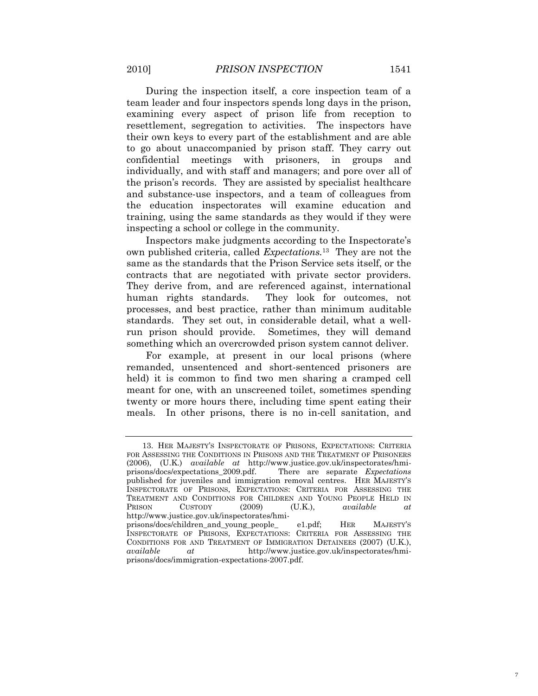During the inspection itself, a core inspection team of a team leader and four inspectors spends long days in the prison, examining every aspect of prison life from reception to resettlement, segregation to activities. The inspectors have their own keys to every part of the establishment and are able to go about unaccompanied by prison staff. They carry out confidential meetings with prisoners, in groups and individually, and with staff and managers; and pore over all of the prison"s records. They are assisted by specialist healthcare and substance-use inspectors, and a team of colleagues from the education inspectorates will examine education and training, using the same standards as they would if they were inspecting a school or college in the community.

Inspectors make judgments according to the Inspectorate"s own published criteria, called *Expectations.*<sup>13</sup> They are not the same as the standards that the Prison Service sets itself, or the contracts that are negotiated with private sector providers. They derive from, and are referenced against, international human rights standards. They look for outcomes, not processes, and best practice, rather than minimum auditable standards. They set out, in considerable detail, what a wellrun prison should provide. Sometimes, they will demand something which an overcrowded prison system cannot deliver.

For example, at present in our local prisons (where remanded, unsentenced and short-sentenced prisoners are held) it is common to find two men sharing a cramped cell meant for one, with an unscreened toilet, sometimes spending twenty or more hours there, including time spent eating their meals. In other prisons, there is no in-cell sanitation, and

<sup>13.</sup> HER MAJESTY"S INSPECTORATE OF PRISONS, EXPECTATIONS: CRITERIA FOR ASSESSING THE CONDITIONS IN PRISONS AND THE TREATMENT OF PRISONERS (2006), (U.K.) *available at* http://www.justice.gov.uk/inspectorates/hmiprisons/docs/expectations\_2009.pdf. There are separate *Expectations* published for juveniles and immigration removal centres. HER MAJESTY"S INSPECTORATE OF PRISONS, EXPECTATIONS: CRITERIA FOR ASSESSING THE TREATMENT AND CONDITIONS FOR CHILDREN AND YOUNG PEOPLE HELD IN PRISON CUSTODY (2009) (U.K.), *available at*  http://www.justice.gov.uk/inspectorates/hmiprisons/docs/children\_and\_young\_people\_ e1.pdf; HER MAJESTY"S INSPECTORATE OF PRISONS, EXPECTATIONS: CRITERIA FOR ASSESSING THE CONDITIONS FOR AND TREATMENT OF IMMIGRATION DETAINEES (2007) (U.K.), *available at* http://www.justice.gov.uk/inspectorates/hmi-

prisons/docs/immigration-expectations-2007.pdf.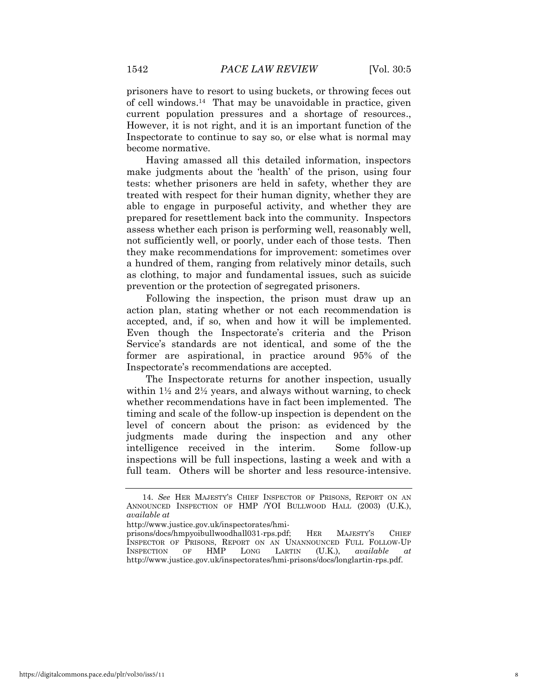prisoners have to resort to using buckets, or throwing feces out of cell windows.14 That may be unavoidable in practice, given current population pressures and a shortage of resources., However, it is not right, and it is an important function of the Inspectorate to continue to say so, or else what is normal may become normative.

Having amassed all this detailed information, inspectors make judgments about the 'health' of the prison, using four tests: whether prisoners are held in safety, whether they are treated with respect for their human dignity, whether they are able to engage in purposeful activity, and whether they are prepared for resettlement back into the community. Inspectors assess whether each prison is performing well, reasonably well, not sufficiently well, or poorly, under each of those tests. Then they make recommendations for improvement: sometimes over a hundred of them, ranging from relatively minor details, such as clothing, to major and fundamental issues, such as suicide prevention or the protection of segregated prisoners.

Following the inspection, the prison must draw up an action plan, stating whether or not each recommendation is accepted, and, if so, when and how it will be implemented. Even though the Inspectorate's criteria and the Prison Service's standards are not identical, and some of the the former are aspirational, in practice around 95% of the Inspectorate"s recommendations are accepted.

The Inspectorate returns for another inspection, usually within  $1\frac{1}{2}$  and  $2\frac{1}{2}$  years, and always without warning, to check whether recommendations have in fact been implemented. The timing and scale of the follow-up inspection is dependent on the level of concern about the prison: as evidenced by the judgments made during the inspection and any other intelligence received in the interim. Some follow-up inspections will be full inspections, lasting a week and with a full team. Others will be shorter and less resource-intensive.

http://www.justice.gov.uk/inspectorates/hmi-

<sup>14.</sup> *See* HER MAJESTY"S CHIEF INSPECTOR OF PRISONS, REPORT ON AN ANNOUNCED INSPECTION OF HMP /YOI BULLWOOD HALL (2003) (U.K.), *available at* 

prisons/docs/hmpyoibullwoodhall031-rps.pdf; HER MAJESTY"S CHIEF INSPECTOR OF PRISONS, REPORT ON AN UNANNOUNCED FULL FOLLOW-UP INSPECTION OF HMP LONG LARTIN (U.K.), *available at*  http://www.justice.gov.uk/inspectorates/hmi-prisons/docs/longlartin-rps.pdf.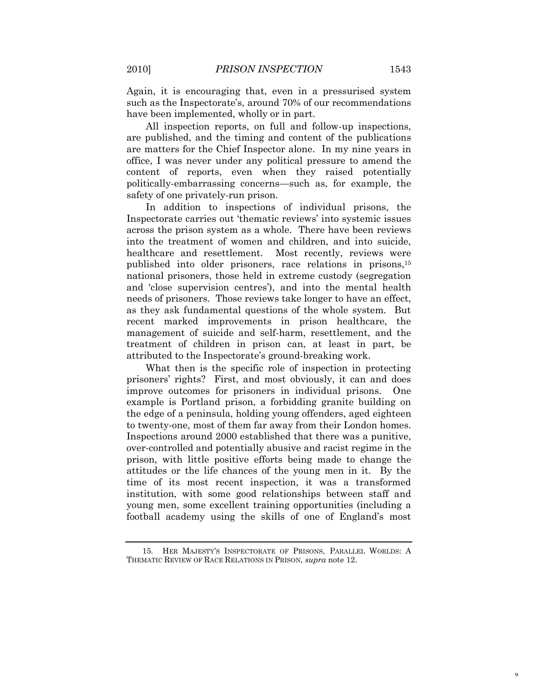Again, it is encouraging that, even in a pressurised system such as the Inspectorate's, around 70% of our recommendations have been implemented, wholly or in part.

All inspection reports, on full and follow-up inspections, are published, and the timing and content of the publications are matters for the Chief Inspector alone. In my nine years in office, I was never under any political pressure to amend the content of reports, even when they raised potentially politically-embarrassing concerns—such as, for example, the safety of one privately-run prison.

In addition to inspections of individual prisons, the Inspectorate carries out "thematic reviews" into systemic issues across the prison system as a whole. There have been reviews into the treatment of women and children, and into suicide, healthcare and resettlement. Most recently, reviews were published into older prisoners, race relations in prisons,<sup>15</sup> national prisoners, those held in extreme custody (segregation and 'close supervision centres'), and into the mental health needs of prisoners. Those reviews take longer to have an effect, as they ask fundamental questions of the whole system. But recent marked improvements in prison healthcare, the management of suicide and self-harm, resettlement, and the treatment of children in prison can, at least in part, be attributed to the Inspectorate's ground-breaking work.

What then is the specific role of inspection in protecting prisoners" rights? First, and most obviously, it can and does improve outcomes for prisoners in individual prisons. One example is Portland prison, a forbidding granite building on the edge of a peninsula, holding young offenders, aged eighteen to twenty-one, most of them far away from their London homes. Inspections around 2000 established that there was a punitive, over-controlled and potentially abusive and racist regime in the prison, with little positive efforts being made to change the attitudes or the life chances of the young men in it. By the time of its most recent inspection, it was a transformed institution, with some good relationships between staff and young men, some excellent training opportunities (including a football academy using the skills of one of England's most

<sup>15</sup>*.* HER MAJESTY"S INSPECTORATE OF PRISONS, PARALLEL WORLDS: A THEMATIC REVIEW OF RACE RELATIONS IN PRISON, *supra* note 12.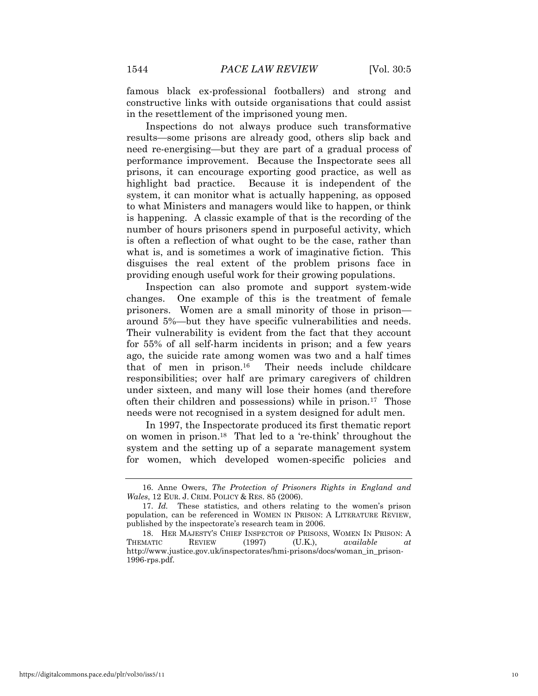famous black ex-professional footballers) and strong and constructive links with outside organisations that could assist in the resettlement of the imprisoned young men.

Inspections do not always produce such transformative results—some prisons are already good, others slip back and need re-energising—but they are part of a gradual process of performance improvement. Because the Inspectorate sees all prisons, it can encourage exporting good practice, as well as highlight bad practice. Because it is independent of the system, it can monitor what is actually happening, as opposed to what Ministers and managers would like to happen, or think is happening. A classic example of that is the recording of the number of hours prisoners spend in purposeful activity, which is often a reflection of what ought to be the case, rather than what is, and is sometimes a work of imaginative fiction. This disguises the real extent of the problem prisons face in providing enough useful work for their growing populations.

Inspection can also promote and support system-wide changes. One example of this is the treatment of female prisoners. Women are a small minority of those in prison around 5%—but they have specific vulnerabilities and needs. Their vulnerability is evident from the fact that they account for 55% of all self-harm incidents in prison; and a few years ago, the suicide rate among women was two and a half times that of men in prison.<sup>16</sup> Their needs include childcare responsibilities; over half are primary caregivers of children under sixteen, and many will lose their homes (and therefore often their children and possessions) while in prison.<sup>17</sup> Those needs were not recognised in a system designed for adult men.

In 1997, the Inspectorate produced its first thematic report on women in prison.<sup>18</sup> That led to a "re-think" throughout the system and the setting up of a separate management system for women, which developed women-specific policies and

<sup>16.</sup> Anne Owers, *The Protection of Prisoners Rights in England and Wales*, 12 EUR. J. CRIM. POLICY & RES. 85 (2006).

<sup>17.</sup> *Id.* These statistics, and others relating to the women's prison population, can be referenced in WOMEN IN PRISON: A LITERATURE REVIEW, published by the inspectorate's research team in 2006.

<sup>18.</sup> HER MAJESTY"S CHIEF INSPECTOR OF PRISONS, WOMEN IN PRISON: A THEMATIC REVIEW (1997) (U.K.), *available at*  http://www.justice.gov.uk/inspectorates/hmi-prisons/docs/woman\_in\_prison-1996-rps.pdf.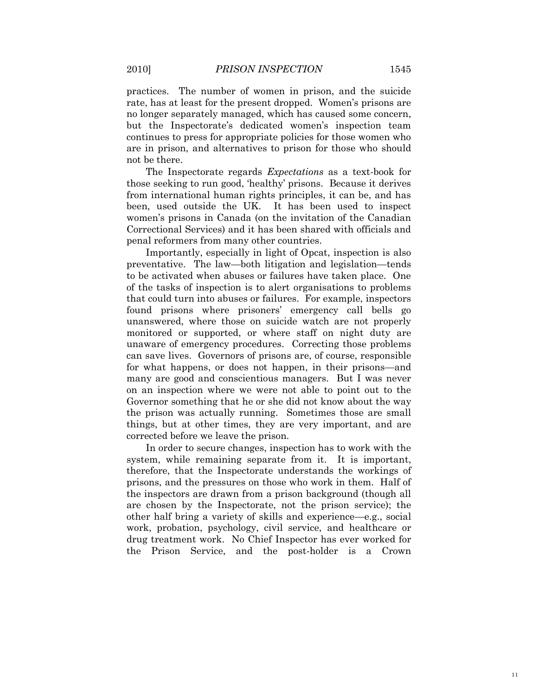practices. The number of women in prison, and the suicide rate, has at least for the present dropped. Women"s prisons are no longer separately managed, which has caused some concern, but the Inspectorate's dedicated women's inspection team continues to press for appropriate policies for those women who are in prison, and alternatives to prison for those who should not be there.

The Inspectorate regards *Expectations* as a text-book for those seeking to run good, "healthy" prisons. Because it derives from international human rights principles, it can be, and has been, used outside the UK. It has been used to inspect women's prisons in Canada (on the invitation of the Canadian Correctional Services) and it has been shared with officials and penal reformers from many other countries.

Importantly, especially in light of Opcat, inspection is also preventative. The law—both litigation and legislation—tends to be activated when abuses or failures have taken place. One of the tasks of inspection is to alert organisations to problems that could turn into abuses or failures. For example, inspectors found prisons where prisoners' emergency call bells go unanswered, where those on suicide watch are not properly monitored or supported, or where staff on night duty are unaware of emergency procedures. Correcting those problems can save lives. Governors of prisons are, of course, responsible for what happens, or does not happen, in their prisons—and many are good and conscientious managers. But I was never on an inspection where we were not able to point out to the Governor something that he or she did not know about the way the prison was actually running. Sometimes those are small things, but at other times, they are very important, and are corrected before we leave the prison.

In order to secure changes, inspection has to work with the system, while remaining separate from it. It is important, therefore, that the Inspectorate understands the workings of prisons, and the pressures on those who work in them. Half of the inspectors are drawn from a prison background (though all are chosen by the Inspectorate, not the prison service); the other half bring a variety of skills and experience—e.g., social work, probation, psychology, civil service, and healthcare or drug treatment work. No Chief Inspector has ever worked for the Prison Service, and the post-holder is a Crown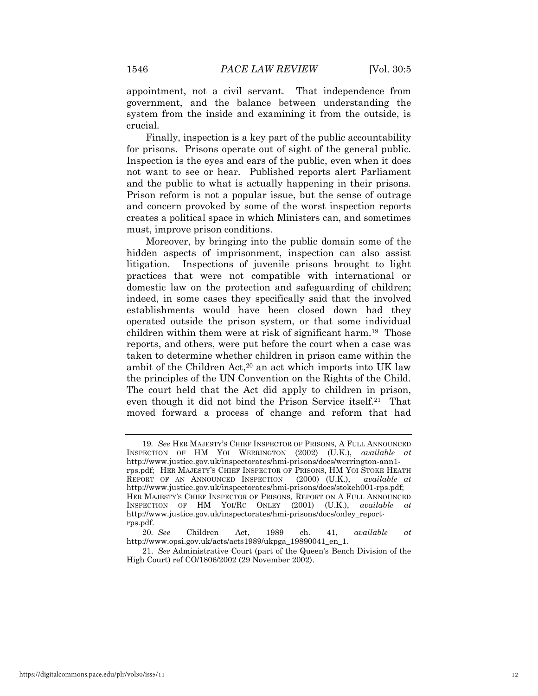appointment, not a civil servant. That independence from government, and the balance between understanding the system from the inside and examining it from the outside, is crucial.

Finally, inspection is a key part of the public accountability for prisons. Prisons operate out of sight of the general public. Inspection is the eyes and ears of the public, even when it does not want to see or hear. Published reports alert Parliament and the public to what is actually happening in their prisons. Prison reform is not a popular issue, but the sense of outrage and concern provoked by some of the worst inspection reports creates a political space in which Ministers can, and sometimes must, improve prison conditions.

Moreover, by bringing into the public domain some of the hidden aspects of imprisonment, inspection can also assist litigation. Inspections of juvenile prisons brought to light practices that were not compatible with international or domestic law on the protection and safeguarding of children; indeed, in some cases they specifically said that the involved establishments would have been closed down had they operated outside the prison system, or that some individual children within them were at risk of significant harm.<sup>19</sup> Those reports, and others, were put before the court when a case was taken to determine whether children in prison came within the ambit of the Children Act,<sup>20</sup> an act which imports into UK law the principles of the UN Convention on the Rights of the Child. The court held that the Act did apply to children in prison, even though it did not bind the Prison Service itself.<sup>21</sup> That moved forward a process of change and reform that had

<sup>19</sup>*. See* HER MAJESTY"S CHIEF INSPECTOR OF PRISONS, A FULL ANNOUNCED INSPECTION OF HM YOI WERRINGTON (2002) (U.K.), *available at*  http://www.justice.gov.uk/inspectorates/hmi-prisons/docs/werrington-ann1 rps.pdf; HER MAJESTY"S CHIEF INSPECTOR OF PRISONS, HM YOI STOKE HEATH REPORT OF AN ANNOUNCED INSPECTION (2000) (U.K.), *available at*  http://www.justice.gov.uk/inspectorates/hmi-prisons/docs/stokeh001-rps.pdf; HER MAJESTY"S CHIEF INSPECTOR OF PRISONS, REPORT ON A FULL ANNOUNCED INSPECTION OF HM YOI/RC ONLEY (2001) (U.K.), *available* http://www.justice.gov.uk/inspectorates/hmi-prisons/docs/onley\_reportrps.pdf.

<sup>20</sup>*. See* Children Act, 1989 ch. 41, *available at*  http://www.opsi.gov.uk/acts/acts1989/ukpga\_19890041\_en\_1.

<sup>21.</sup> *See* Administrative Court (part of the Queen's Bench Division of the High Court) ref CO/1806/2002 (29 November 2002).